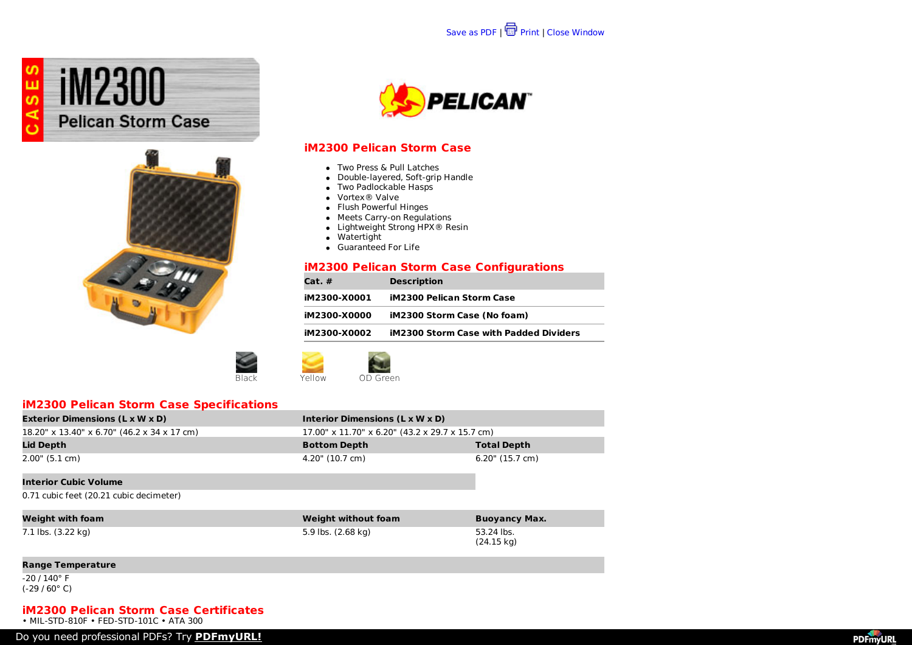





### **iM2300 Pelican Storm Case**

- Two Press & Pull Latches
- Double-layered, Soft-grip Handle
- Two Padlockable Hasps
- Vortex® Valve
- Flush Powerful Hinges
- Meets Carry-on Regulations
- Lightweight Strong HPX<sup>®</sup> Resin
- Watertight
- **Guaranteed For Life**

### **iM2300 Pelican Storm Case Configurations**

| Cat. #       | <b>Description</b>                            |
|--------------|-----------------------------------------------|
| iM2300-X0001 | <b>iM2300 Pelican Storm Case</b>              |
| iM2300-X0000 | iM2300 Storm Case (No foam)                   |
| iM2300-X0002 | <b>iM2300 Storm Case with Padded Dividers</b> |
|              |                                               |

Black **Yellow** OD Green

## **iM2300 Pelican Storm Case Specifications**

| <b>Exterior Dimensions (L x W x D)</b>         | Interior Dimensions (L x W x D)                 |                    |
|------------------------------------------------|-------------------------------------------------|--------------------|
| $18.20''$ x 13.40" x 6.70" (46.2 x 34 x 17 cm) | 17.00" x 11.70" x 6.20" (43.2 x 29.7 x 15.7 cm) |                    |
| <b>Lid Depth</b>                               | <b>Bottom Depth</b>                             | <b>Total Depth</b> |
| 2.00" (5.1 cm)                                 | 4.20" (10.7 cm)                                 | $6.20$ " (15.7 cm) |
| <b>Interior Cubic Volume</b>                   |                                                 |                    |

0.71 cubic feet (20.21 cubic decimeter)

| Weight with foam   | Weight without foam | <b>Buoyancy Max.</b> |
|--------------------|---------------------|----------------------|
| 7.1 lbs. (3.22 kg) | 5.9 lbs. (2.68 kg)  | 53.24 lbs.           |
|                    |                     | $(24.15 \text{ kg})$ |

#### **Range Temperature**

-20 / 140° F (-29 / 60° C)

### **iM2300 Pelican Storm Case Certificates**

• MIL-STD-810F • FED-STD-101C • ATA 300